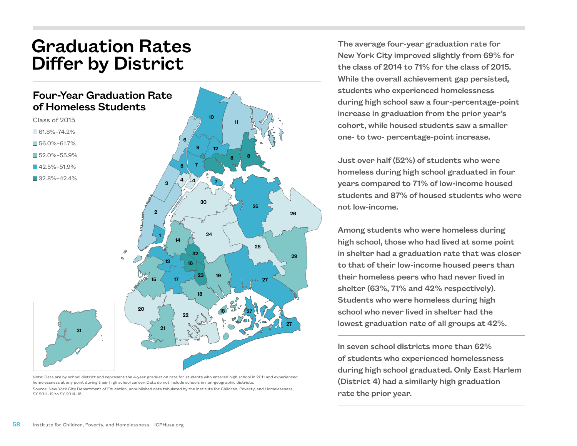## Graduation Rates Differ by District

## Four-Year Graduation Rate of Homeless Students

 $10$ Class of 2015 11  $\square$  61.8%–74.2% 6  $56.0\% - 61.7\%$ 9 12 n 52.0%–55.9% 8 8 7  $142.5% - 51.9%$ 5  $\blacksquare$  32.8%–42.4% 4  $4/$   $\sqrt{7}$ 3 30 25 2 26 24 1 14 28  $\mathbf{\hat{D}}$ 32 29 13 16 23 19 15 17 27 18 20 18 27 22 27 21 31

Note: Data are by school district and represent the 4-year graduation rate for students who entered high school in 2011 and experienced homelessness at any point during their high school career. Data do not include schools in non-geographic districts. Source: New York City Department of Education, unpublished data tabulated by the Institute for Children, Poverty, and Homelessness, SY 2011–12 to SY 2014–15.

The average four-year graduation rate for New York City improved slightly from 69% for the class of 2014 to 71% for the class of 2015. While the overall achievement gap persisted. students who experienced homelessness during high school saw a four-percentage-point increase in graduation from the prior year's cohort, while housed students saw a smaller one- to two- percentage-point increase.

Just over half (52%) of students who were homeless during high school graduated in four years compared to 71% of low-income housed students and 87% of housed students who were not low-income.

Among students who were homeless during high school, those who had lived at some point in shelter had a graduation rate that was closer to that of their low-income housed peers than their homeless peers who had never lived in shelter (63%, 71% and 42% respectively). Students who were homeless during high school who never lived in shelter had the lowest graduation rate of all groups at 42%.

In seven school districts more than 62% of students who experienced homelessness during high school graduated. Only East Harlem (District 4) had a similarly high graduation rate the prior year.